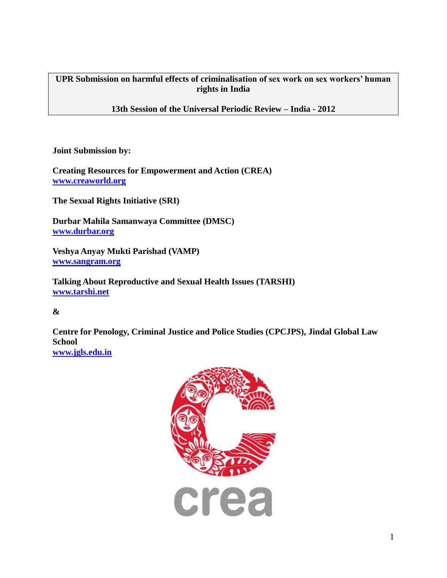**UPR Submission on harmful effects of criminalisation of sex work on sex workers' human rights in India**

**13th Session of the Universal Periodic Review – India - 2012**

**Joint Submission by:**

**Creating Resources for Empowerment and Action (CREA) [www.creaworld.org](http://www.creaworld.org/)**

**The Sexual Rights Initiative (SRI)** 

**Durbar Mahila Samanwaya Committee (DMSC) [www.durbar.org](http://www.durbar.org/)**

**Veshya Anyay Mukti Parishad (VAMP) [www.sangram.org](http://www.sangram.org/)**

**Talking About Reproductive and Sexual Health Issues (TARSHI) [www.tarshi.net](http://www.tarshi.net/)**

## **&**

**Centre for Penology, Criminal Justice and Police Studies (CPCJPS), Jindal Global Law School**

**[www.jgls.edu.in](http://www.jgls.edu.in/)**

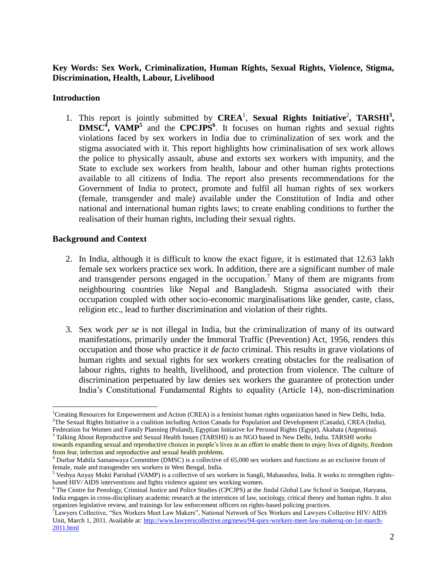## **Key Words: Sex Work, Criminalization, Human Rights, Sexual Rights, Violence, Stigma, Discrimination, Health, Labour, Livelihood**

#### **Introduction**

1. This report is jointly submitted by CREA<sup>1</sup>, Sexual Rights Initiative<sup>2</sup>, TARSHI<sup>3</sup>, **DMSC<sup>4</sup> , VAMP<sup>5</sup>** and the **CPCJPS<sup>6</sup>** . It focuses on human rights and sexual rights violations faced by sex workers in India due to criminalization of sex work and the stigma associated with it. This report highlights how criminalisation of sex work allows the police to physically assault, abuse and extorts sex workers with impunity, and the State to exclude sex workers from health, labour and other human rights protections available to all citizens of India. The report also presents recommendations for the Government of India to protect, promote and fulfil all human rights of sex workers (female, transgender and male) available under the Constitution of India and other national and international human rights laws; to create enabling conditions to further the realisation of their human rights, including their sexual rights.

### **Background and Context**

- 2. In India, although it is difficult to know the exact figure, it is estimated that 12.63 lakh female sex workers practice sex work. In addition, there are a significant number of male and transgender persons engaged in the occupation.<sup>7</sup> Many of them are migrants from neighbouring countries like Nepal and Bangladesh. Stigma associated with their occupation coupled with other socio-economic marginalisations like gender, caste, class, religion etc., lead to further discrimination and violation of their rights.
- 3. Sex work *per se* is not illegal in India, but the criminalization of many of its outward manifestations, primarily under the Immoral Traffic (Prevention) Act, 1956, renders this occupation and those who practice it *de facto* criminal. This results in grave violations of human rights and sexual rights for sex workers creating obstacles for the realisation of labour rights, rights to health, livelihood, and protection from violence. The culture of discrimination perpetuated by law denies sex workers the guarantee of protection under India"s Constitutional Fundamental Rights to equality (Article 14), non-discrimination

<sup>&</sup>lt;sup>1</sup>Creating Resources for Empowerment and Action (CREA) is a feminist human rights organization based in New Delhi, India.  ${}^{2}$ The Sexual Rights Initiative is a coalition including Action Canada for Population and Development (Canada), CREA (India), Federation for Women and Family Planning (Poland), Egyptian Initiative for Personal Rights (Egypt), Akahata (Argentina).

<sup>&</sup>lt;sup>3</sup> Talking About Reproductive and Sexual Health Issues (TARSHI) is an NGO based in New Delhi, India. TARSHI works towards expanding sexual and reproductive choices in people"s lives in an effort to enable them to enjoy lives of dignity, freedom from fear, infection and reproductive and sexual health problems.

<sup>4</sup> Durbar Mahila Samanwaya Committee (DMSC) is a collective of 65,000 sex workers and functions as an exclusive forum of female, male and transgender sex workers in West Bengal, India.

<sup>5</sup> Veshya Anyay Mukti Parishad (VAMP) is a collective of sex workers in Sangli, Maharashra, India. It works to strengthen rightsbased HIV/ AIDS interventions and fights violence against sex working women.

<sup>6</sup> The Centre for Penology, Criminal Justice and Police Studies (CPCJPS) at the Jindal Global Law School in Sonipat, Haryana, India engages in cross-disciplinary academic research at the interstices of law, sociology, critical theory and human rights. It also organizes legislative review, and trainings for law enforcement officers on rights-based policing practices.

<sup>7</sup>Lawyers Collective, "Sex Workers Meet Law Makers", National Network of Sex Workers and Lawyers Collective HIV/ AIDS Unit, March 1, 2011. Available at[: http://www.lawyerscollective.org/news/94-qsex-workers-meet-law-makersq-on-1st-march-](http://www.lawyerscollective.org/news/94-qsex-workers-meet-law-makersq-on-1st-march-2011.html)[2011.html](http://www.lawyerscollective.org/news/94-qsex-workers-meet-law-makersq-on-1st-march-2011.html)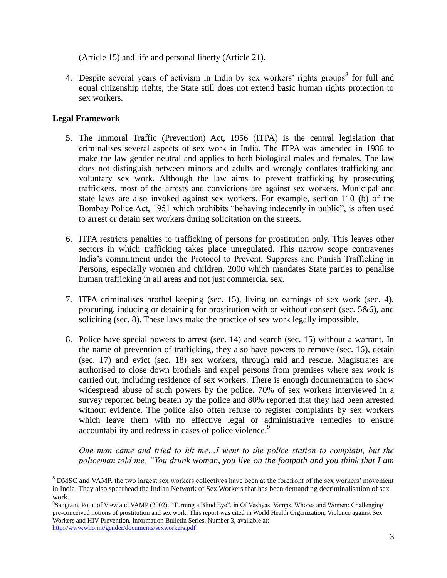(Article 15) and life and personal liberty (Article 21).

4. Despite several years of activism in India by sex workers' rights groups<sup>8</sup> for full and equal citizenship rights, the State still does not extend basic human rights protection to sex workers.

# **Legal Framework**

 $\overline{a}$ 

- 5. The Immoral Traffic (Prevention) Act, 1956 (ITPA) is the central legislation that criminalises several aspects of sex work in India. The ITPA was amended in 1986 to make the law gender neutral and applies to both biological males and females. The law does not distinguish between minors and adults and wrongly conflates trafficking and voluntary sex work. Although the law aims to prevent trafficking by prosecuting traffickers, most of the arrests and convictions are against sex workers. Municipal and state laws are also invoked against sex workers. For example, section 110 (b) of the Bombay Police Act, 1951 which prohibits "behaving indecently in public", is often used to arrest or detain sex workers during solicitation on the streets.
- 6. ITPA restricts penalties to trafficking of persons for prostitution only. This leaves other sectors in which trafficking takes place unregulated. This narrow scope contravenes India"s commitment under the Protocol to Prevent, Suppress and Punish Trafficking in Persons, especially women and children, 2000 which mandates State parties to penalise human trafficking in all areas and not just commercial sex.
- 7. ITPA criminalises brothel keeping (sec. 15), living on earnings of sex work (sec. 4), procuring, inducing or detaining for prostitution with or without consent (sec. 5&6), and soliciting (sec. 8). These laws make the practice of sex work legally impossible.
- 8. Police have special powers to arrest (sec. 14) and search (sec. 15) without a warrant. In the name of prevention of trafficking, they also have powers to remove (sec. 16), detain (sec. 17) and evict (sec. 18) sex workers, through raid and rescue. Magistrates are authorised to close down brothels and expel persons from premises where sex work is carried out, including residence of sex workers. There is enough documentation to show widespread abuse of such powers by the police. 70% of sex workers interviewed in a survey reported being beaten by the police and 80% reported that they had been arrested without evidence. The police also often refuse to register complaints by sex workers which leave them with no effective legal or administrative remedies to ensure accountability and redress in cases of police violence.<sup>9</sup>

*One man came and tried to hit me…I went to the police station to complain, but the policeman told me, "You drunk woman, you live on the footpath and you think that I am* 

<sup>&</sup>lt;sup>8</sup> DMSC and VAMP, the two largest sex workers collectives have been at the forefront of the sex workers' movement in India. They also spearhead the Indian Network of Sex Workers that has been demanding decriminalisation of sex work.

<sup>9</sup> Sangram, Point of View and VAMP (2002). "Turning a Blind Eye", in Of Veshyas, Vamps, Whores and Women: Challenging pre-conceived notions of prostitution and sex work. This report was cited in World Health Organization, Violence against Sex Workers and HIV Prevention, Information Bulletin Series, Number 3, available at: <http://www.who.int/gender/documents/sexworkers.pdf>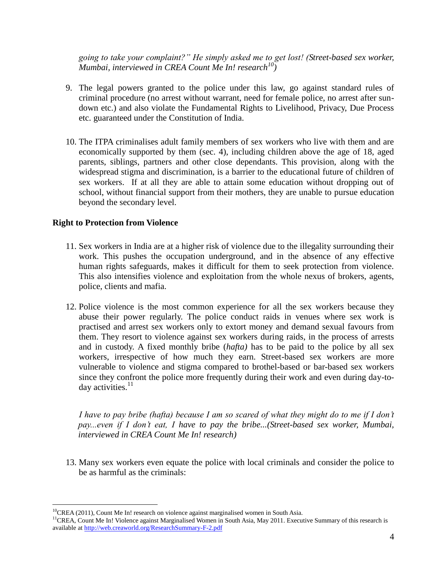*going to take your complaint?" He simply asked me to get lost! (Street-based sex worker, Mumbai, interviewed in CREA Count Me In! research<sup>10</sup>)*

- 9. The legal powers granted to the police under this law, go against standard rules of criminal procedure (no arrest without warrant, need for female police, no arrest after sundown etc.) and also violate the Fundamental Rights to Livelihood, Privacy, Due Process etc. guaranteed under the Constitution of India.
- 10. The ITPA criminalises adult family members of sex workers who live with them and are economically supported by them (sec. 4), including children above the age of 18, aged parents, siblings, partners and other close dependants. This provision, along with the widespread stigma and discrimination, is a barrier to the educational future of children of sex workers. If at all they are able to attain some education without dropping out of school, without financial support from their mothers, they are unable to pursue education beyond the secondary level.

### **Right to Protection from Violence**

 $\overline{a}$ 

- 11. Sex workers in India are at a higher risk of violence due to the illegality surrounding their work. This pushes the occupation underground, and in the absence of any effective human rights safeguards, makes it difficult for them to seek protection from violence. This also intensifies violence and exploitation from the whole nexus of brokers, agents, police, clients and mafia.
- 12. Police violence is the most common experience for all the sex workers because they abuse their power regularly. The police conduct raids in venues where sex work is practised and arrest sex workers only to extort money and demand sexual favours from them. They resort to violence against sex workers during raids, in the process of arrests and in custody. A fixed monthly bribe (*hafta)* has to be paid to the police by all sex workers, irrespective of how much they earn. Street-based sex workers are more vulnerable to violence and stigma compared to brothel-based or bar-based sex workers since they confront the police more frequently during their work and even during day-today activities. $11$

*I have to pay bribe (hafta) because I am so scared of what they might do to me if I don't pay...even if I don't eat, I have to pay the bribe...(Street-based sex worker, Mumbai, interviewed in CREA Count Me In! research)*

13. Many sex workers even equate the police with local criminals and consider the police to be as harmful as the criminals:

<sup>&</sup>lt;sup>10</sup>CREA (2011), Count Me In! research on violence against marginalised women in South Asia.

<sup>&</sup>lt;sup>11</sup>CREA, Count Me In! Violence against Marginalised Women in South Asia, May 2011. Executive Summary of this research is available a[t http://web.creaworld.org/ResearchSummary-F-2.pdf](http://web.creaworld.org/ResearchSummary-F-2.pdf)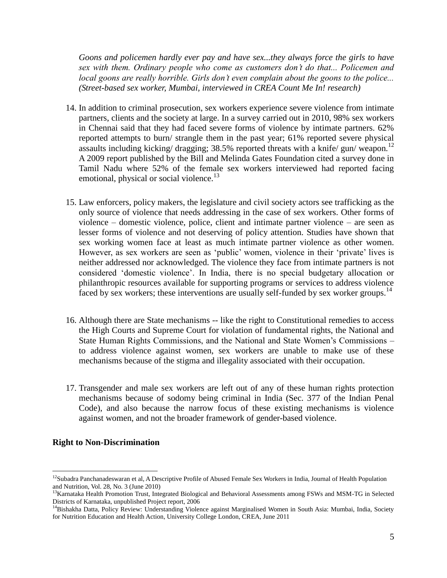*Goons and policemen hardly ever pay and have sex...they always force the girls to have sex with them. Ordinary people who come as customers don't do that... Policemen and local goons are really horrible. Girls don't even complain about the goons to the police... (Street-based sex worker, Mumbai, interviewed in CREA Count Me In! research)*

- 14. In addition to criminal prosecution, sex workers experience severe violence from intimate partners, clients and the society at large. In a survey carried out in 2010, 98% sex workers in Chennai said that they had faced severe forms of violence by intimate partners. 62% reported attempts to burn/ strangle them in the past year; 61% reported severe physical assaults including kicking/ dragging;  $38.5\%$  reported threats with a knife/ gun/ weapon.<sup>12</sup> A 2009 report published by the Bill and Melinda Gates Foundation cited a survey done in Tamil Nadu where 52% of the female sex workers interviewed had reported facing emotional, physical or social violence.<sup>13</sup>
- 15. Law enforcers, policy makers, the legislature and civil society actors see trafficking as the only source of violence that needs addressing in the case of sex workers. Other forms of violence – domestic violence, police, client and intimate partner violence – are seen as lesser forms of violence and not deserving of policy attention. Studies have shown that sex working women face at least as much intimate partner violence as other women. However, as sex workers are seen as 'public' women, violence in their 'private' lives is neither addressed nor acknowledged. The violence they face from intimate partners is not considered "domestic violence". In India, there is no special budgetary allocation or philanthropic resources available for supporting programs or services to address violence faced by sex workers; these interventions are usually self-funded by sex worker groups.<sup>14</sup>
- 16. Although there are State mechanisms -- like the right to Constitutional remedies to access the High Courts and Supreme Court for violation of fundamental rights, the National and State Human Rights Commissions, and the National and State Women"s Commissions – to address violence against women, sex workers are unable to make use of these mechanisms because of the stigma and illegality associated with their occupation.
- 17. Transgender and male sex workers are left out of any of these human rights protection mechanisms because of sodomy being criminal in India (Sec. 377 of the Indian Penal Code), and also because the narrow focus of these existing mechanisms is violence against women, and not the broader framework of gender-based violence.

#### **Right to Non-Discrimination**

<sup>&</sup>lt;sup>12</sup>Subadra Panchanadeswaran et al, A Descriptive Profile of Abused Female Sex Workers in India, Journal of Health Population and Nutrition, Vol. 28, No. 3 (June 2010)

<sup>&</sup>lt;sup>13</sup>Karnataka Health Promotion Trust, Integrated Biological and Behavioral Assessments among FSWs and MSM-TG in Selected Districts of Karnataka, unpublished Project report, 2006

<sup>&</sup>lt;sup>14</sup>Bishakha Datta, Policy Review: Understanding Violence against Marginalised Women in South Asia: Mumbai, India, Society for Nutrition Education and Health Action, University College London, CREA, June 2011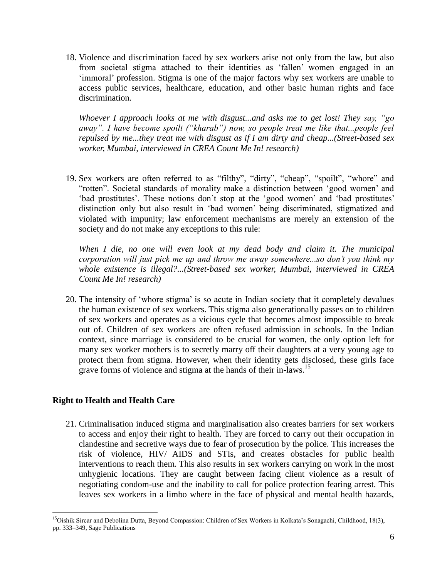18. Violence and discrimination faced by sex workers arise not only from the law, but also from societal stigma attached to their identities as "fallen" women engaged in an "immoral" profession. Stigma is one of the major factors why sex workers are unable to access public services, healthcare, education, and other basic human rights and face discrimination.

*Whoever I approach looks at me with disgust...and asks me to get lost! They say, "go away". I have become spoilt ("kharab") now, so people treat me like that...people feel repulsed by me...they treat me with disgust as if I am dirty and cheap...(Street-based sex worker, Mumbai, interviewed in CREA Count Me In! research)*

19. Sex workers are often referred to as "filthy", "dirty", "cheap", "spoilt", "whore" and "rotten". Societal standards of morality make a distinction between "good women" and "bad prostitutes". These notions don't stop at the "good women" and "bad prostitutes" distinction only but also result in "bad women" being discriminated, stigmatized and violated with impunity; law enforcement mechanisms are merely an extension of the society and do not make any exceptions to this rule:

*When I die, no one will even look at my dead body and claim it. The municipal corporation will just pick me up and throw me away somewhere...so don't you think my whole existence is illegal?...(Street-based sex worker, Mumbai, interviewed in CREA Count Me In! research)*

20. The intensity of "whore stigma" is so acute in Indian society that it completely devalues the human existence of sex workers. This stigma also generationally passes on to children of sex workers and operates as a vicious cycle that becomes almost impossible to break out of. Children of sex workers are often refused admission in schools. In the Indian context, since marriage is considered to be crucial for women, the only option left for many sex worker mothers is to secretly marry off their daughters at a very young age to protect them from stigma. However, when their identity gets disclosed, these girls face grave forms of violence and stigma at the hands of their in-laws.<sup>15</sup>

## **Right to Health and Health Care**

 $\overline{a}$ 

21. Criminalisation induced stigma and marginalisation also creates barriers for sex workers to access and enjoy their right to health. They are forced to carry out their occupation in clandestine and secretive ways due to fear of prosecution by the police. This increases the risk of violence, HIV/ AIDS and STIs, and creates obstacles for public health interventions to reach them. This also results in sex workers carrying on work in the most unhygienic locations. They are caught between facing client violence as a result of negotiating condom-use and the inability to call for police protection fearing arrest. This leaves sex workers in a limbo where in the face of physical and mental health hazards,

<sup>&</sup>lt;sup>15</sup>Oishik Sircar and Debolina Dutta, Beyond Compassion: Children of Sex Workers in Kolkata's Sonagachi, Childhood, 18(3), pp. 333–349, Sage Publications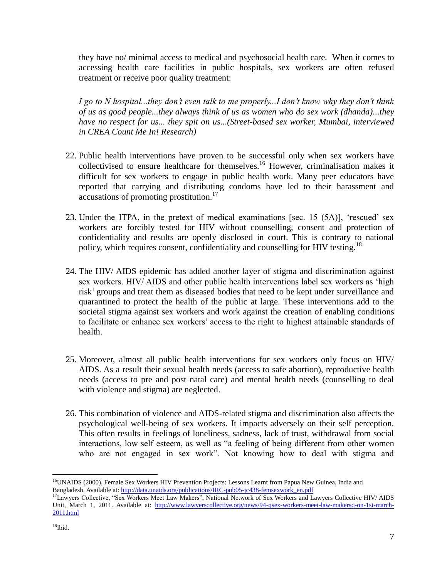they have no/ minimal access to medical and psychosocial health care. When it comes to accessing health care facilities in public hospitals, sex workers are often refused treatment or receive poor quality treatment:

*I go to N hospital...they don't even talk to me properly...I don't know why they don't think of us as good people...they always think of us as women who do sex work (dhanda)...they have no respect for us... they spit on us...(Street-based sex worker, Mumbai, interviewed in CREA Count Me In! Research)*

- 22. Public health interventions have proven to be successful only when sex workers have collectivised to ensure healthcare for themselves.<sup>16</sup> However, criminalisation makes it difficult for sex workers to engage in public health work. Many peer educators have reported that carrying and distributing condoms have led to their harassment and accusations of promoting prostitution.<sup>17</sup>
- 23. Under the ITPA, in the pretext of medical examinations [sec. 15 (5A)], "rescued" sex workers are forcibly tested for HIV without counselling, consent and protection of confidentiality and results are openly disclosed in court. This is contrary to national policy, which requires consent, confidentiality and counselling for HIV testing.<sup>18</sup>
- 24. The HIV/ AIDS epidemic has added another layer of stigma and discrimination against sex workers. HIV/ AIDS and other public health interventions label sex workers as "high risk" groups and treat them as diseased bodies that need to be kept under surveillance and quarantined to protect the health of the public at large. These interventions add to the societal stigma against sex workers and work against the creation of enabling conditions to facilitate or enhance sex workers" access to the right to highest attainable standards of health.
- 25. Moreover, almost all public health interventions for sex workers only focus on HIV/ AIDS. As a result their sexual health needs (access to safe abortion), reproductive health needs (access to pre and post natal care) and mental health needs (counselling to deal with violence and stigma) are neglected.
- 26. This combination of violence and AIDS-related stigma and discrimination also affects the psychological well-being of sex workers. It impacts adversely on their self perception. This often results in feelings of loneliness, sadness, lack of trust, withdrawal from social interactions, low self esteem, as well as "a feeling of being different from other women who are not engaged in sex work". Not knowing how to deal with stigma and

 $\overline{a}$ <sup>16</sup>UNAIDS (2000), Female Sex Workers HIV Prevention Projects: Lessons Learnt from Papua New Guinea, India and Bangladesh. Available at: [http://data.unaids.org/publications/IRC-pub05-jc438-femsexwork\\_en.pdf](http://data.unaids.org/publications/IRC-pub05-jc438-femsexwork_en.pdf)

<sup>&</sup>lt;sup>17</sup>Lawyers Collective, "Sex Workers Meet Law Makers", National Network of Sex Workers and Lawyers Collective HIV/ AIDS Unit, March 1, 2011. Available at: [http://www.lawyerscollective.org/news/94-qsex-workers-meet-law-makersq-on-1st-march-](http://www.lawyerscollective.org/news/94-qsex-workers-meet-law-makersq-on-1st-march-2011.html)[2011.html](http://www.lawyerscollective.org/news/94-qsex-workers-meet-law-makersq-on-1st-march-2011.html)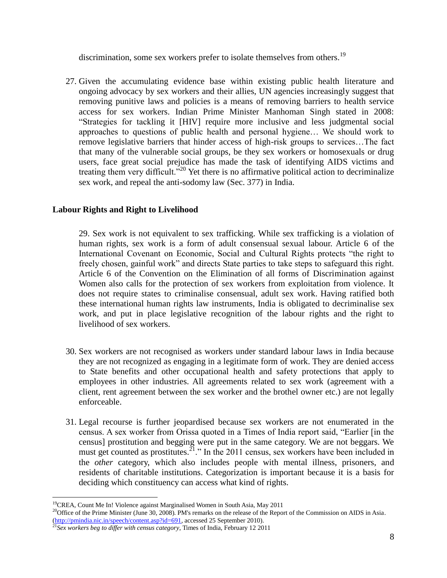discrimination, some sex workers prefer to isolate themselves from others.<sup>19</sup>

27. Given the accumulating evidence base within existing public health literature and ongoing advocacy by sex workers and their allies, UN agencies increasingly suggest that removing punitive laws and policies is a means of removing barriers to health service access for sex workers. Indian Prime Minister Manhoman Singh stated in 2008: "Strategies for tackling it [HIV] require more inclusive and less judgmental social approaches to questions of public health and personal hygiene… We should work to remove legislative barriers that hinder access of high-risk groups to services…The fact that many of the vulnerable social groups, be they sex workers or homosexuals or drug users, face great social prejudice has made the task of identifying AIDS victims and treating them very difficult."<sup>20</sup> Yet there is no affirmative political action to decriminalize sex work, and repeal the anti-sodomy law (Sec. 377) in India.

### **Labour Rights and Right to Livelihood**

29. Sex work is not equivalent to sex trafficking. While sex trafficking is a violation of human rights, sex work is a form of adult consensual sexual labour. Article 6 of the International Covenant on Economic, Social and Cultural Rights protects "the right to freely chosen, gainful work" and directs State parties to take steps to safeguard this right. Article 6 of the Convention on the Elimination of all forms of Discrimination against Women also calls for the protection of sex workers from exploitation from violence. It does not require states to criminalise consensual, adult sex work. Having ratified both these international human rights law instruments, India is obligated to decriminalise sex work, and put in place legislative recognition of the labour rights and the right to livelihood of sex workers.

- 30. Sex workers are not recognised as workers under standard labour laws in India because they are not recognized as engaging in a legitimate form of work. They are denied access to State benefits and other occupational health and safety protections that apply to employees in other industries. All agreements related to sex work (agreement with a client, rent agreement between the sex worker and the brothel owner etc.) are not legally enforceable.
- 31. Legal recourse is further jeopardised because sex workers are not enumerated in the census. A sex worker from Orissa quoted in a Times of India report said, "Earlier [in the census] prostitution and begging were put in the same category. We are not beggars. We must get counted as prostitutes.<sup>21</sup>." In the 2011 census, sex workers have been included in the *other* category, which also includes people with mental illness, prisoners, and residents of charitable institutions. Categorization is important because it is a basis for deciding which constituency can access what kind of rights.

<sup>&</sup>lt;sup>19</sup>CREA, Count Me In! Violence against Marginalised Women in South Asia, May 2011

<sup>&</sup>lt;sup>20</sup>Office of the Prime Minister (June 30, 2008). PM's remarks on the release of the Report of the Commission on AIDS in Asia. [\(http://pmindia.nic.in/speech/content.asp?id=691,](http://pmindia.nic.in/speech/content.asp?id=691) accessed 25 September 2010).

<sup>&</sup>lt;sup>21</sup>Sex workers beg to differ with census category, Times of India, February 12 2011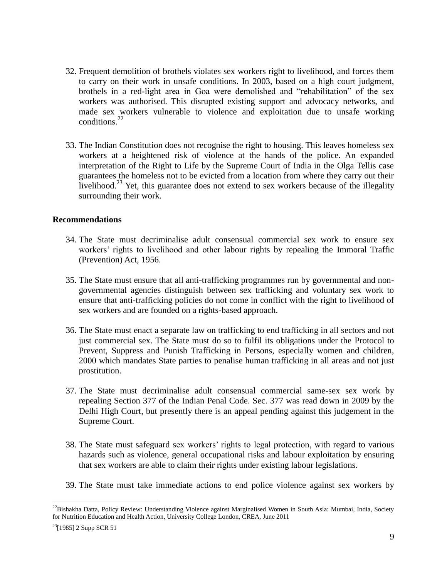- 32. Frequent demolition of brothels violates sex workers right to livelihood, and forces them to carry on their work in unsafe conditions. In 2003, based on a high court judgment, brothels in a red-light area in Goa were demolished and "rehabilitation" of the sex workers was authorised. This disrupted existing support and advocacy networks, and made sex workers vulnerable to violence and exploitation due to unsafe working conditions. $^{22}$
- 33. The Indian Constitution does not recognise the right to housing. This leaves homeless sex workers at a heightened risk of violence at the hands of the police. An expanded interpretation of the Right to Life by the Supreme Court of India in the Olga Tellis case guarantees the homeless not to be evicted from a location from where they carry out their livelihood.<sup>23</sup> Yet, this guarantee does not extend to sex workers because of the illegality surrounding their work.

#### **Recommendations**

- 34. The State must decriminalise adult consensual commercial sex work to ensure sex workers" rights to livelihood and other labour rights by repealing the Immoral Traffic (Prevention) Act, 1956.
- 35. The State must ensure that all anti-trafficking programmes run by governmental and nongovernmental agencies distinguish between sex trafficking and voluntary sex work to ensure that anti-trafficking policies do not come in conflict with the right to livelihood of sex workers and are founded on a rights-based approach.
- 36. The State must enact a separate law on trafficking to end trafficking in all sectors and not just commercial sex. The State must do so to fulfil its obligations under the Protocol to Prevent, Suppress and Punish Trafficking in Persons, especially women and children, 2000 which mandates State parties to penalise human trafficking in all areas and not just prostitution.
- 37. The State must decriminalise adult consensual commercial same-sex sex work by repealing Section 377 of the Indian Penal Code. Sec. 377 was read down in 2009 by the Delhi High Court, but presently there is an appeal pending against this judgement in the Supreme Court.
- 38. The State must safeguard sex workers" rights to legal protection, with regard to various hazards such as violence, general occupational risks and labour exploitation by ensuring that sex workers are able to claim their rights under existing labour legislations.
- 39. The State must take immediate actions to end police violence against sex workers by

 $^{22}$ Bishakha Datta, Policy Review: Understanding Violence against Marginalised Women in South Asia: Mumbai, India, Society for Nutrition Education and Health Action, University College London, CREA, June 2011

 $23$ [1985] 2 Supp SCR 51